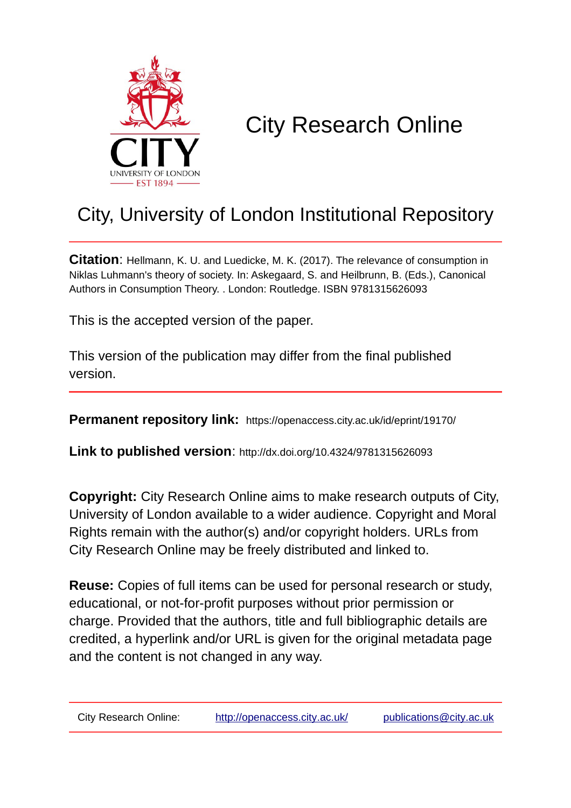

# City Research Online

# City, University of London Institutional Repository

**Citation**: Hellmann, K. U. and Luedicke, M. K. (2017). The relevance of consumption in Niklas Luhmann's theory of society. In: Askegaard, S. and Heilbrunn, B. (Eds.), Canonical Authors in Consumption Theory. . London: Routledge. ISBN 9781315626093

This is the accepted version of the paper.

This version of the publication may differ from the final published version.

**Permanent repository link:** https://openaccess.city.ac.uk/id/eprint/19170/

**Link to published version**: http://dx.doi.org/10.4324/9781315626093

**Copyright:** City Research Online aims to make research outputs of City, University of London available to a wider audience. Copyright and Moral Rights remain with the author(s) and/or copyright holders. URLs from City Research Online may be freely distributed and linked to.

**Reuse:** Copies of full items can be used for personal research or study, educational, or not-for-profit purposes without prior permission or charge. Provided that the authors, title and full bibliographic details are credited, a hyperlink and/or URL is given for the original metadata page and the content is not changed in any way.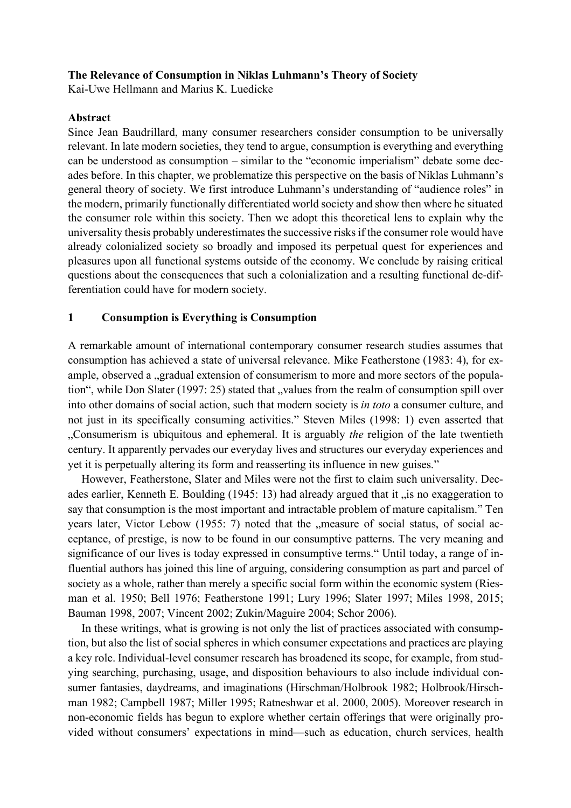#### **The Relevance of Consumption in Niklas Luhmann's Theory of Society**

Kai-Uwe Hellmann and Marius K. Luedicke

#### **Abstract**

Since Jean Baudrillard, many consumer researchers consider consumption to be universally relevant. In late modern societies, they tend to argue, consumption is everything and everything can be understood as consumption – similar to the "economic imperialism" debate some decades before. In this chapter, we problematize this perspective on the basis of Niklas Luhmann's general theory of society. We first introduce Luhmann's understanding of "audience roles" in the modern, primarily functionally differentiated world society and show then where he situated the consumer role within this society. Then we adopt this theoretical lens to explain why the universality thesis probably underestimates the successive risks if the consumer role would have already colonialized society so broadly and imposed its perpetual quest for experiences and pleasures upon all functional systems outside of the economy. We conclude by raising critical questions about the consequences that such a colonialization and a resulting functional de-differentiation could have for modern society.

#### **1 Consumption is Everything is Consumption**

A remarkable amount of international contemporary consumer research studies assumes that consumption has achieved a state of universal relevance. Mike Featherstone (1983: 4), for example, observed a , gradual extension of consumerism to more and more sectors of the population", while Don Slater (1997: 25) stated that "values from the realm of consumption spill over into other domains of social action, such that modern society is *in toto* a consumer culture, and not just in its specifically consuming activities." Steven Miles (1998: 1) even asserted that "Consumerism is ubiquitous and ephemeral. It is arguably *the* religion of the late twentieth century. It apparently pervades our everyday lives and structures our everyday experiences and yet it is perpetually altering its form and reasserting its influence in new guises."

However, Featherstone, Slater and Miles were not the first to claim such universality. Decades earlier, Kenneth E. Boulding  $(1945: 13)$  had already argued that it  $\mu$  is no exaggeration to say that consumption is the most important and intractable problem of mature capitalism." Ten years later, Victor Lebow (1955: 7) noted that the "measure of social status, of social acceptance, of prestige, is now to be found in our consumptive patterns. The very meaning and significance of our lives is today expressed in consumptive terms." Until today, a range of influential authors has joined this line of arguing, considering consumption as part and parcel of society as a whole, rather than merely a specific social form within the economic system (Riesman et al. 1950; Bell 1976; Featherstone 1991; Lury 1996; Slater 1997; Miles 1998, 2015; Bauman 1998, 2007; Vincent 2002; Zukin/Maguire 2004; Schor 2006).

In these writings, what is growing is not only the list of practices associated with consumption, but also the list of social spheres in which consumer expectations and practices are playing a key role. Individual-level consumer research has broadened its scope, for example, from studying searching, purchasing, usage, and disposition behaviours to also include individual consumer fantasies, daydreams, and imaginations (Hirschman/Holbrook 1982; Holbrook/Hirschman 1982; Campbell 1987; Miller 1995; Ratneshwar et al. 2000, 2005). Moreover research in non-economic fields has begun to explore whether certain offerings that were originally provided without consumers' expectations in mind—such as education, church services, health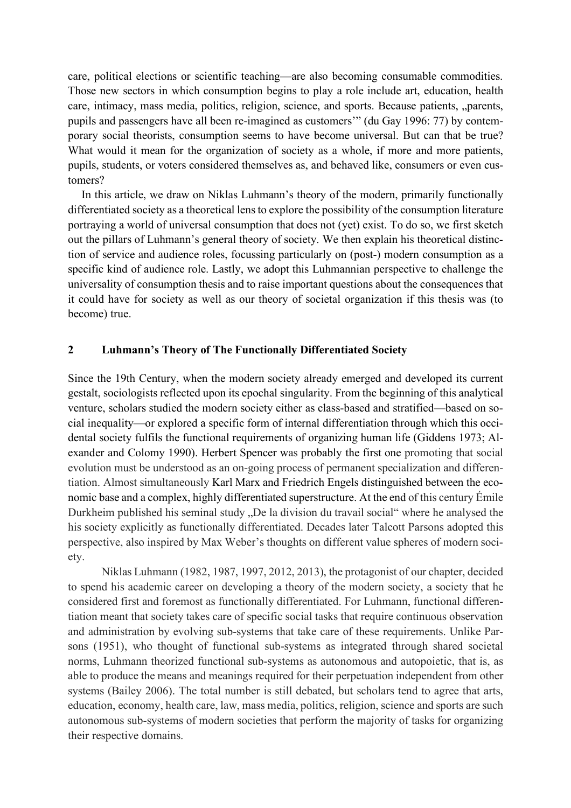care, political elections or scientific teaching—are also becoming consumable commodities. Those new sectors in which consumption begins to play a role include art, education, health care, intimacy, mass media, politics, religion, science, and sports. Because patients, "parents, pupils and passengers have all been re-imagined as customers'" (du Gay 1996: 77) by contemporary social theorists, consumption seems to have become universal. But can that be true? What would it mean for the organization of society as a whole, if more and more patients, pupils, students, or voters considered themselves as, and behaved like, consumers or even customers?

In this article, we draw on Niklas Luhmann's theory of the modern, primarily functionally differentiated society as a theoretical lens to explore the possibility of the consumption literature portraying a world of universal consumption that does not (yet) exist. To do so, we first sketch out the pillars of Luhmann's general theory of society. We then explain his theoretical distinction of service and audience roles, focussing particularly on (post-) modern consumption as a specific kind of audience role. Lastly, we adopt this Luhmannian perspective to challenge the universality of consumption thesis and to raise important questions about the consequences that it could have for society as well as our theory of societal organization if this thesis was (to become) true.

#### **2 Luhmann's Theory of The Functionally Differentiated Society**

Since the 19th Century, when the modern society already emerged and developed its current gestalt, sociologists reflected upon its epochal singularity. From the beginning of this analytical venture, scholars studied the modern society either as class-based and stratified—based on social inequality—or explored a specific form of internal differentiation through which this occidental society fulfils the functional requirements of organizing human life (Giddens 1973; Alexander and Colomy 1990). Herbert Spencer was probably the first one promoting that social evolution must be understood as an on-going process of permanent specialization and differentiation. Almost simultaneously Karl Marx and Friedrich Engels distinguished between the economic base and a complex, highly differentiated superstructure. At the end of this century Émile Durkheim published his seminal study "De la division du travail social" where he analysed the his society explicitly as functionally differentiated. Decades later Talcott Parsons adopted this perspective, also inspired by Max Weber's thoughts on different value spheres of modern society.

Niklas Luhmann (1982, 1987, 1997, 2012, 2013), the protagonist of our chapter, decided to spend his academic career on developing a theory of the modern society, a society that he considered first and foremost as functionally differentiated. For Luhmann, functional differentiation meant that society takes care of specific social tasks that require continuous observation and administration by evolving sub-systems that take care of these requirements. Unlike Parsons (1951), who thought of functional sub-systems as integrated through shared societal norms, Luhmann theorized functional sub-systems as autonomous and autopoietic, that is, as able to produce the means and meanings required for their perpetuation independent from other systems (Bailey 2006). The total number is still debated, but scholars tend to agree that arts, education, economy, health care, law, mass media, politics, religion, science and sports are such autonomous sub-systems of modern societies that perform the majority of tasks for organizing their respective domains.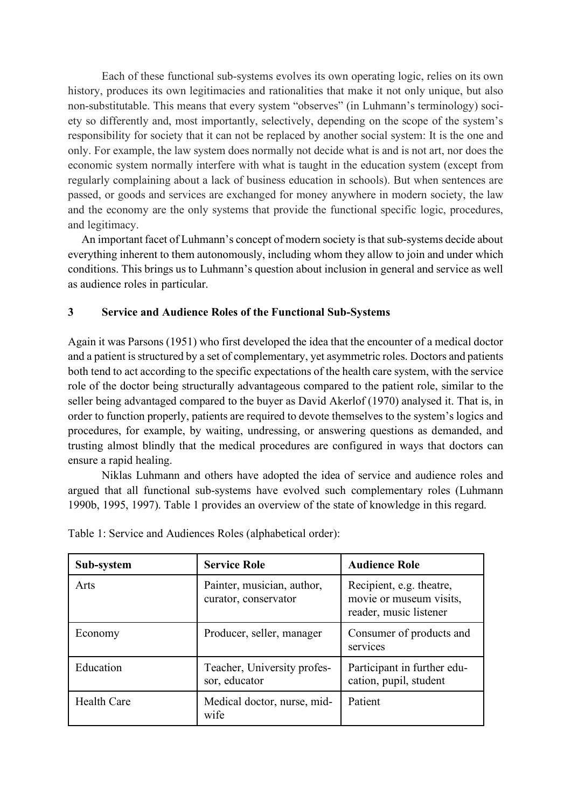Each of these functional sub-systems evolves its own operating logic, relies on its own history, produces its own legitimacies and rationalities that make it not only unique, but also non-substitutable. This means that every system "observes" (in Luhmann's terminology) society so differently and, most importantly, selectively, depending on the scope of the system's responsibility for society that it can not be replaced by another social system: It is the one and only. For example, the law system does normally not decide what is and is not art, nor does the economic system normally interfere with what is taught in the education system (except from regularly complaining about a lack of business education in schools). But when sentences are passed, or goods and services are exchanged for money anywhere in modern society, the law and the economy are the only systems that provide the functional specific logic, procedures, and legitimacy.

An important facet of Luhmann's concept of modern society is that sub-systems decide about everything inherent to them autonomously, including whom they allow to join and under which conditions. This brings us to Luhmann's question about inclusion in general and service as well as audience roles in particular.

# **3 Service and Audience Roles of the Functional Sub-Systems**

Again it was Parsons (1951) who first developed the idea that the encounter of a medical doctor and a patient is structured by a set of complementary, yet asymmetric roles. Doctors and patients both tend to act according to the specific expectations of the health care system, with the service role of the doctor being structurally advantageous compared to the patient role, similar to the seller being advantaged compared to the buyer as David Akerlof (1970) analysed it. That is, in order to function properly, patients are required to devote themselves to the system's logics and procedures, for example, by waiting, undressing, or answering questions as demanded, and trusting almost blindly that the medical procedures are configured in ways that doctors can ensure a rapid healing.

Niklas Luhmann and others have adopted the idea of service and audience roles and argued that all functional sub-systems have evolved such complementary roles (Luhmann 1990b, 1995, 1997). Table 1 provides an overview of the state of knowledge in this regard.

| Sub-system         | <b>Service Role</b>                                | <b>Audience Role</b>                                                          |
|--------------------|----------------------------------------------------|-------------------------------------------------------------------------------|
| Arts               | Painter, musician, author,<br>curator, conservator | Recipient, e.g. theatre,<br>movie or museum visits,<br>reader, music listener |
| Economy            | Producer, seller, manager                          | Consumer of products and<br>services                                          |
| Education          | Teacher, University profes-<br>sor, educator       | Participant in further edu-<br>cation, pupil, student                         |
| <b>Health Care</b> | Medical doctor, nurse, mid-<br>wife                | Patient                                                                       |

Table 1: Service and Audiences Roles (alphabetical order):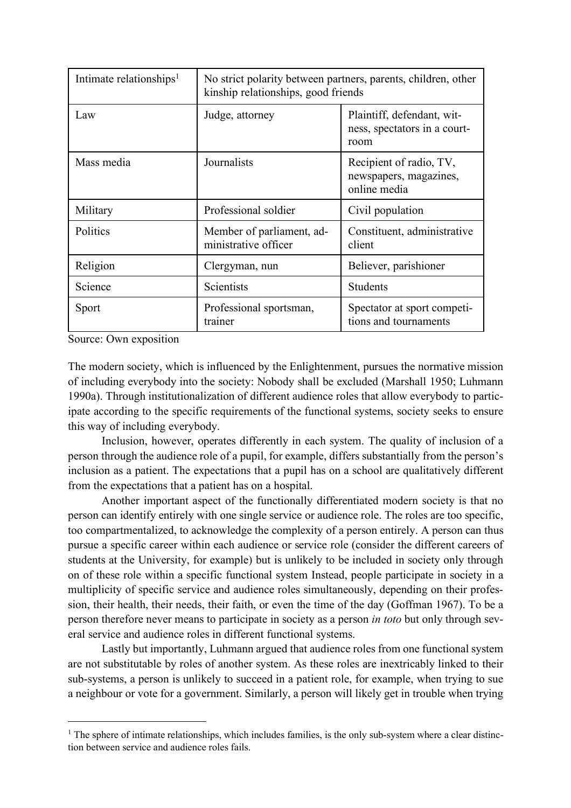| Intimate relationships <sup>1</sup> | No strict polarity between partners, parents, children, other<br>kinship relationships, good friends |                                                                    |
|-------------------------------------|------------------------------------------------------------------------------------------------------|--------------------------------------------------------------------|
| Law                                 | Judge, attorney                                                                                      | Plaintiff, defendant, wit-<br>ness, spectators in a court-<br>room |
| Mass media                          | Journalists                                                                                          | Recipient of radio, TV,<br>newspapers, magazines,<br>online media  |
| Military                            | Professional soldier                                                                                 | Civil population                                                   |
| Politics                            | Member of parliament, ad-<br>ministrative officer                                                    | Constituent, administrative<br>client                              |
| Religion                            | Clergyman, nun                                                                                       | Believer, parishioner                                              |
| Science                             | Scientists                                                                                           | <b>Students</b>                                                    |
| Sport                               | Professional sportsman,<br>trainer                                                                   | Spectator at sport competi-<br>tions and tournaments               |

Source: Own exposition

 $\overline{a}$ 

The modern society, which is influenced by the Enlightenment, pursues the normative mission of including everybody into the society: Nobody shall be excluded (Marshall 1950; Luhmann 1990a). Through institutionalization of different audience roles that allow everybody to participate according to the specific requirements of the functional systems, society seeks to ensure this way of including everybody.

Inclusion, however, operates differently in each system. The quality of inclusion of a person through the audience role of a pupil, for example, differs substantially from the person's inclusion as a patient. The expectations that a pupil has on a school are qualitatively different from the expectations that a patient has on a hospital.

Another important aspect of the functionally differentiated modern society is that no person can identify entirely with one single service or audience role. The roles are too specific, too compartmentalized, to acknowledge the complexity of a person entirely. A person can thus pursue a specific career within each audience or service role (consider the different careers of students at the University, for example) but is unlikely to be included in society only through on of these role within a specific functional system Instead, people participate in society in a multiplicity of specific service and audience roles simultaneously, depending on their profession, their health, their needs, their faith, or even the time of the day (Goffman 1967). To be a person therefore never means to participate in society as a person *in toto* but only through several service and audience roles in different functional systems.

Lastly but importantly, Luhmann argued that audience roles from one functional system are not substitutable by roles of another system. As these roles are inextricably linked to their sub-systems, a person is unlikely to succeed in a patient role, for example, when trying to sue a neighbour or vote for a government. Similarly, a person will likely get in trouble when trying

<sup>&</sup>lt;sup>1</sup> The sphere of intimate relationships, which includes families, is the only sub-system where a clear distinction between service and audience roles fails.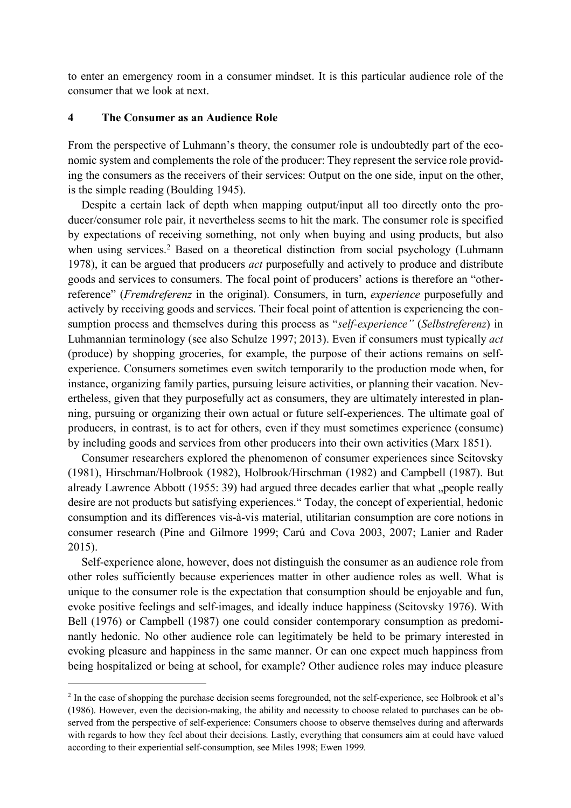to enter an emergency room in a consumer mindset. It is this particular audience role of the consumer that we look at next.

### **4 The Consumer as an Audience Role**

 $\overline{a}$ 

From the perspective of Luhmann's theory, the consumer role is undoubtedly part of the economic system and complements the role of the producer: They represent the service role providing the consumers as the receivers of their services: Output on the one side, input on the other, is the simple reading (Boulding 1945).

Despite a certain lack of depth when mapping output/input all too directly onto the producer/consumer role pair, it nevertheless seems to hit the mark. The consumer role is specified by expectations of receiving something, not only when buying and using products, but also when using services.<sup>2</sup> Based on a theoretical distinction from social psychology (Luhmann 1978), it can be argued that producers *act* purposefully and actively to produce and distribute goods and services to consumers. The focal point of producers' actions is therefore an "otherreference" (*Fremdreferenz* in the original). Consumers, in turn, *experience* purposefully and actively by receiving goods and services. Their focal point of attention is experiencing the consumption process and themselves during this process as "*self-experience"* (*Selbstreferenz*) in Luhmannian terminology (see also Schulze 1997; 2013). Even if consumers must typically *act*  (produce) by shopping groceries, for example, the purpose of their actions remains on selfexperience. Consumers sometimes even switch temporarily to the production mode when, for instance, organizing family parties, pursuing leisure activities, or planning their vacation. Nevertheless, given that they purposefully act as consumers, they are ultimately interested in planning, pursuing or organizing their own actual or future self-experiences. The ultimate goal of producers, in contrast, is to act for others, even if they must sometimes experience (consume) by including goods and services from other producers into their own activities (Marx 1851).

Consumer researchers explored the phenomenon of consumer experiences since Scitovsky (1981), Hirschman/Holbrook (1982), Holbrook/Hirschman (1982) and Campbell (1987). But already Lawrence Abbott (1955: 39) had argued three decades earlier that what "people really desire are not products but satisfying experiences." Today, the concept of experiential, hedonic consumption and its differences vis-à-vis material, utilitarian consumption are core notions in consumer research (Pine and Gilmore 1999; Carú and Cova 2003, 2007; Lanier and Rader 2015).

Self-experience alone, however, does not distinguish the consumer as an audience role from other roles sufficiently because experiences matter in other audience roles as well. What is unique to the consumer role is the expectation that consumption should be enjoyable and fun, evoke positive feelings and self-images, and ideally induce happiness (Scitovsky 1976). With Bell (1976) or Campbell (1987) one could consider contemporary consumption as predominantly hedonic. No other audience role can legitimately be held to be primary interested in evoking pleasure and happiness in the same manner. Or can one expect much happiness from being hospitalized or being at school, for example? Other audience roles may induce pleasure

<sup>&</sup>lt;sup>2</sup> In the case of shopping the purchase decision seems foregrounded, not the self-experience, see Holbrook et al's (1986). However, even the decision-making, the ability and necessity to choose related to purchases can be observed from the perspective of self-experience: Consumers choose to observe themselves during and afterwards with regards to how they feel about their decisions. Lastly, everything that consumers aim at could have valued according to their experiential self-consumption, see Miles 1998; Ewen 1999*.*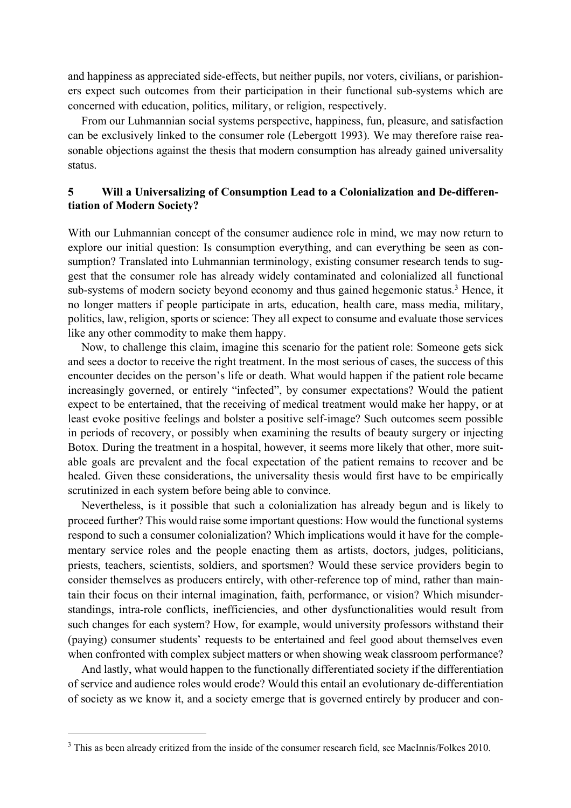and happiness as appreciated side-effects, but neither pupils, nor voters, civilians, or parishioners expect such outcomes from their participation in their functional sub-systems which are concerned with education, politics, military, or religion, respectively.

From our Luhmannian social systems perspective, happiness, fun, pleasure, and satisfaction can be exclusively linked to the consumer role (Lebergott 1993). We may therefore raise reasonable objections against the thesis that modern consumption has already gained universality status.

## **5 Will a Universalizing of Consumption Lead to a Colonialization and De-differentiation of Modern Society?**

With our Luhmannian concept of the consumer audience role in mind, we may now return to explore our initial question: Is consumption everything, and can everything be seen as consumption? Translated into Luhmannian terminology, existing consumer research tends to suggest that the consumer role has already widely contaminated and colonialized all functional sub-systems of modern society beyond economy and thus gained hegemonic status.<sup>3</sup> Hence, it no longer matters if people participate in arts, education, health care, mass media, military, politics, law, religion, sports or science: They all expect to consume and evaluate those services like any other commodity to make them happy.

Now, to challenge this claim, imagine this scenario for the patient role: Someone gets sick and sees a doctor to receive the right treatment. In the most serious of cases, the success of this encounter decides on the person's life or death. What would happen if the patient role became increasingly governed, or entirely "infected", by consumer expectations? Would the patient expect to be entertained, that the receiving of medical treatment would make her happy, or at least evoke positive feelings and bolster a positive self-image? Such outcomes seem possible in periods of recovery, or possibly when examining the results of beauty surgery or injecting Botox. During the treatment in a hospital, however, it seems more likely that other, more suitable goals are prevalent and the focal expectation of the patient remains to recover and be healed. Given these considerations, the universality thesis would first have to be empirically scrutinized in each system before being able to convince.

Nevertheless, is it possible that such a colonialization has already begun and is likely to proceed further? This would raise some important questions: How would the functional systems respond to such a consumer colonialization? Which implications would it have for the complementary service roles and the people enacting them as artists, doctors, judges, politicians, priests, teachers, scientists, soldiers, and sportsmen? Would these service providers begin to consider themselves as producers entirely, with other-reference top of mind, rather than maintain their focus on their internal imagination, faith, performance, or vision? Which misunderstandings, intra-role conflicts, inefficiencies, and other dysfunctionalities would result from such changes for each system? How, for example, would university professors withstand their (paying) consumer students' requests to be entertained and feel good about themselves even when confronted with complex subject matters or when showing weak classroom performance?

And lastly, what would happen to the functionally differentiated society if the differentiation of service and audience roles would erode? Would this entail an evolutionary de-differentiation of society as we know it, and a society emerge that is governed entirely by producer and con-

l

<sup>&</sup>lt;sup>3</sup> This as been already critized from the inside of the consumer research field, see MacInnis/Folkes 2010.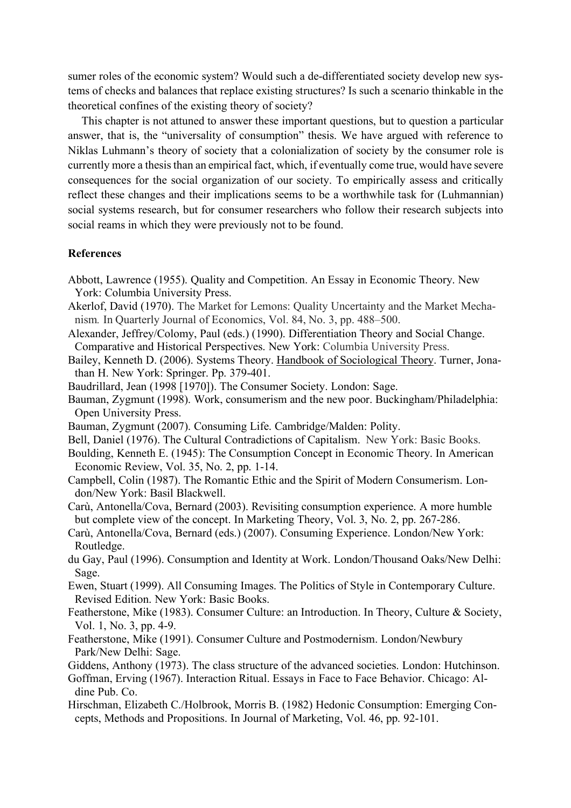sumer roles of the economic system? Would such a de-differentiated society develop new systems of checks and balances that replace existing structures? Is such a scenario thinkable in the theoretical confines of the existing theory of society?

This chapter is not attuned to answer these important questions, but to question a particular answer, that is, the "universality of consumption" thesis. We have argued with reference to Niklas Luhmann's theory of society that a colonialization of society by the consumer role is currently more a thesis than an empirical fact, which, if eventually come true, would have severe consequences for the social organization of our society. To empirically assess and critically reflect these changes and their implications seems to be a worthwhile task for (Luhmannian) social systems research, but for consumer researchers who follow their research subjects into social reams in which they were previously not to be found.

#### **References**

- Abbott, Lawrence (1955). Quality and Competition. An Essay in Economic Theory. New York: Columbia University Press.
- Akerlof, David (1970). The Market for Lemons: Quality Uncertainty and the Market Mechanism*.* In Quarterly Journal of Economics, Vol. 84, No. 3, pp. 488–500.
- Alexander, Jeffrey/Colomy, Paul (eds.) (1990). Differentiation Theory and Social Change. Comparative and Historical Perspectives. New York: Columbia University Press.
- Bailey, Kenneth D. (2006). Systems Theory. Handbook of Sociological Theory. Turner, Jonathan H. New York: Springer. Pp. 379-401.
- Baudrillard, Jean (1998 [1970]). The Consumer Society. London: Sage.
- Bauman, Zygmunt (1998). Work, consumerism and the new poor. Buckingham/Philadelphia: Open University Press.
- Bauman, Zygmunt (2007). Consuming Life. Cambridge/Malden: Polity.
- Bell, Daniel (1976). The Cultural Contradictions of Capitalism. New York: Basic Books.
- Boulding, Kenneth E. (1945): The Consumption Concept in Economic Theory. In American Economic Review, Vol. 35, No. 2, pp. 1-14.
- Campbell, Colin (1987). The Romantic Ethic and the Spirit of Modern Consumerism. London/New York: Basil Blackwell.
- Carù, Antonella/Cova, Bernard (2003). Revisiting consumption experience. A more humble but complete view of the concept. In Marketing Theory, Vol. 3, No. 2, pp. 267-286.
- Carù, Antonella/Cova, Bernard (eds.) (2007). Consuming Experience. London/New York: Routledge.
- du Gay, Paul (1996). Consumption and Identity at Work. London/Thousand Oaks/New Delhi: Sage.
- Ewen, Stuart (1999). All Consuming Images. The Politics of Style in Contemporary Culture. Revised Edition. New York: Basic Books.
- Featherstone, Mike (1983). Consumer Culture: an Introduction. In Theory, Culture & Society, Vol. 1, No. 3, pp. 4-9.
- Featherstone, Mike (1991). Consumer Culture and Postmodernism. London/Newbury Park/New Delhi: Sage.
- Giddens, Anthony (1973). The class structure of the advanced societies. London: Hutchinson.
- Goffman, Erving (1967). Interaction Ritual. Essays in Face to Face Behavior. Chicago: Aldine Pub. Co.
- Hirschman, Elizabeth C./Holbrook, Morris B. (1982) Hedonic Consumption: Emerging Concepts, Methods and Propositions. In Journal of Marketing, Vol. 46, pp. 92-101.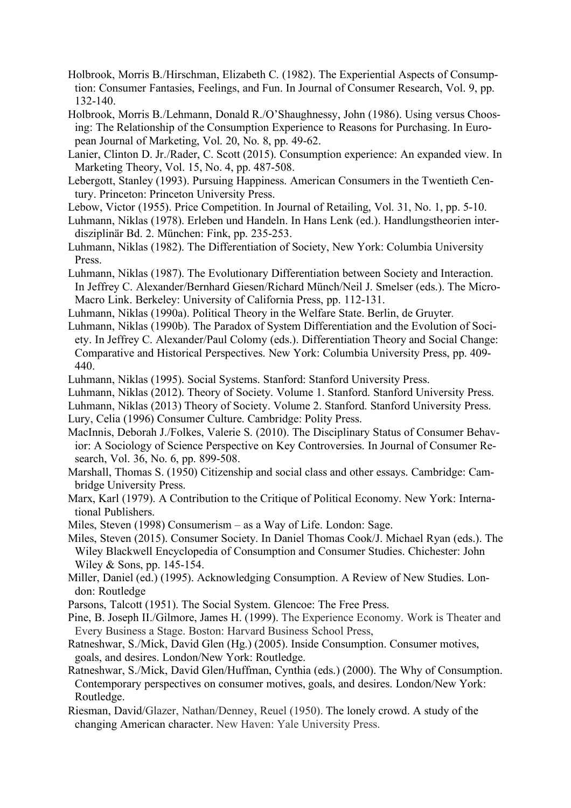- Holbrook, Morris B./Hirschman, Elizabeth C. (1982). The Experiential Aspects of Consumption: Consumer Fantasies, Feelings, and Fun. In Journal of Consumer Research, Vol. 9, pp. 132-140.
- Holbrook, Morris B./Lehmann, Donald R./O'Shaughnessy, John (1986). Using versus Choosing: The Relationship of the Consumption Experience to Reasons for Purchasing. In European Journal of Marketing, Vol. 20, No. 8, pp. 49-62.
- Lanier, Clinton D. Jr./Rader, C. Scott (2015). Consumption experience: An expanded view. In Marketing Theory, Vol. 15, No. 4, pp. 487-508.
- Lebergott, Stanley (1993). Pursuing Happiness. American Consumers in the Twentieth Century. Princeton: Princeton University Press.
- Lebow, Victor (1955). Price Competition. In Journal of Retailing, Vol. 31, No. 1, pp. 5-10.
- Luhmann, Niklas (1978). Erleben und Handeln. In Hans Lenk (ed.). Handlungstheorien interdisziplinär Bd. 2. München: Fink, pp. 235-253.
- Luhmann, Niklas (1982). The Differentiation of Society, New York: Columbia University Press.
- Luhmann, Niklas (1987). The Evolutionary Differentiation between Society and Interaction. In Jeffrey C. Alexander/Bernhard Giesen/Richard Münch/Neil J. Smelser (eds.). The Micro-Macro Link. Berkeley: University of California Press, pp. 112-131.
- Luhmann, Niklas (1990a). Political Theory in the Welfare State. Berlin, de Gruyter*.*
- Luhmann, Niklas (1990b). The Paradox of System Differentiation and the Evolution of Society. In Jeffrey C. Alexander/Paul Colomy (eds.). Differentiation Theory and Social Change: Comparative and Historical Perspectives. New York: Columbia University Press, pp. 409- 440.
- Luhmann, Niklas (1995). Social Systems. Stanford: Stanford University Press.
- Luhmann, Niklas (2012). Theory of Society. Volume 1. Stanford. Stanford University Press.
- Luhmann, Niklas (2013) Theory of Society. Volume 2. Stanford. Stanford University Press.

Lury, Celia (1996) Consumer Culture. Cambridge: Polity Press.

- MacInnis, Deborah J./Folkes, Valerie S. (2010). The Disciplinary Status of Consumer Behavior: A Sociology of Science Perspective on Key Controversies. In Journal of Consumer Research, Vol. 36, No. 6, pp. 899-508.
- Marshall, Thomas S. (1950) Citizenship and social class and other essays. Cambridge: Cambridge University Press.
- Marx, Karl (1979). A Contribution to the Critique of Political Economy. New York: International Publishers.
- Miles, Steven (1998) Consumerism as a Way of Life. London: Sage.
- Miles, Steven (2015). Consumer Society. In Daniel Thomas Cook/J. Michael Ryan (eds.). The Wiley Blackwell Encyclopedia of Consumption and Consumer Studies. Chichester: John Wiley & Sons, pp. 145-154.
- Miller, Daniel (ed.) (1995). Acknowledging Consumption. A Review of New Studies. London: Routledge
- Parsons, Talcott (1951). The Social System. Glencoe: The Free Press.
- Pine, B. Joseph II./Gilmore, James H. (1999). The Experience Economy. Work is Theater and Every Business a Stage. Boston: Harvard Business School Press,
- Ratneshwar, S./Mick, David Glen (Hg.) (2005). Inside Consumption. Consumer motives, goals, and desires. London/New York: Routledge.
- Ratneshwar, S./Mick, David Glen/Huffman, Cynthia (eds.) (2000). The Why of Consumption. Contemporary perspectives on consumer motives, goals, and desires. London/New York: Routledge.
- Riesman, David/Glazer, Nathan/Denney, Reuel (1950). The lonely crowd. A study of the changing American character. New Haven: Yale University Press.